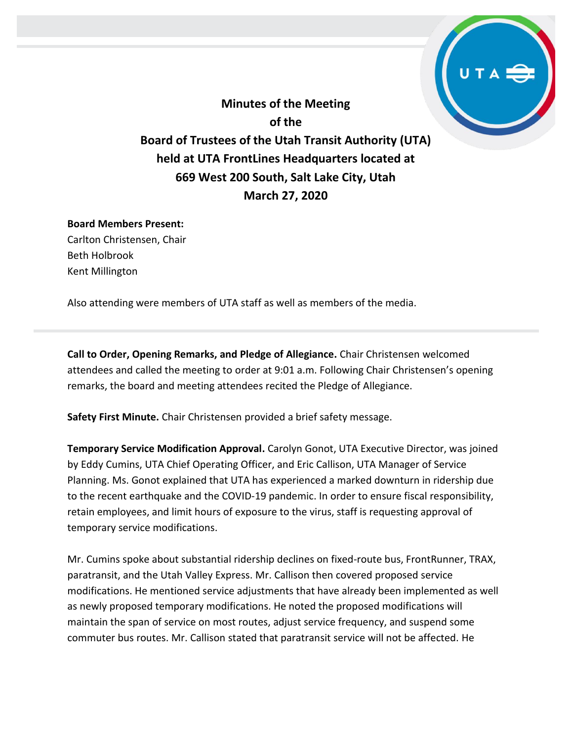**Minutes of the Meeting of the Board of Trustees of the Utah Transit Authority (UTA) held at UTA FrontLines Headquarters located at 669 West 200 South, Salt Lake City, Utah March 27, 2020**

## **Board Members Present:**

Carlton Christensen, Chair Beth Holbrook Kent Millington

Also attending were members of UTA staff as well as members of the media.

**Call to Order, Opening Remarks, and Pledge of Allegiance.** Chair Christensen welcomed attendees and called the meeting to order at 9:01 a.m. Following Chair Christensen's opening remarks, the board and meeting attendees recited the Pledge of Allegiance.

**Safety First Minute.** Chair Christensen provided a brief safety message.

**Temporary Service Modification Approval.** Carolyn Gonot, UTA Executive Director, was joined by Eddy Cumins, UTA Chief Operating Officer, and Eric Callison, UTA Manager of Service Planning. Ms. Gonot explained that UTA has experienced a marked downturn in ridership due to the recent earthquake and the COVID-19 pandemic. In order to ensure fiscal responsibility, retain employees, and limit hours of exposure to the virus, staff is requesting approval of temporary service modifications.

Mr. Cumins spoke about substantial ridership declines on fixed-route bus, FrontRunner, TRAX, paratransit, and the Utah Valley Express. Mr. Callison then covered proposed service modifications. He mentioned service adjustments that have already been implemented as well as newly proposed temporary modifications. He noted the proposed modifications will maintain the span of service on most routes, adjust service frequency, and suspend some commuter bus routes. Mr. Callison stated that paratransit service will not be affected. He